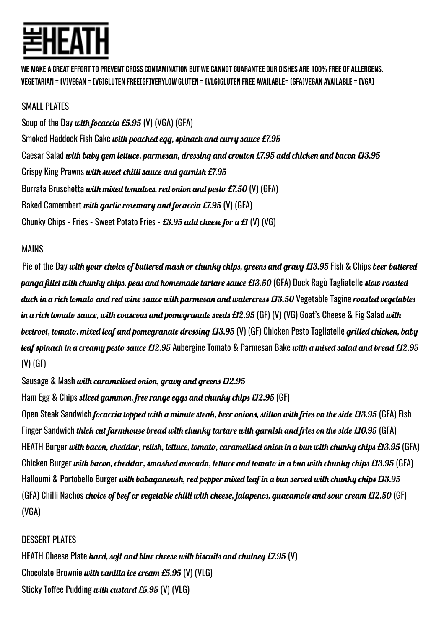MAKE A GREAT EFFORT TO PREVENT CROSS CONTAMINATION BUT WE CANNOT GUARANTEE OUR DISHES ARE 100% FREE OF ALLERGENS. VEGETARIAN = (V)VEGAN = (VG)GLUTEN FREE(GF)VERYLOW GLUTEN = (VLG)GLUTEN FREE AVAILABLE= (GFA)VEGAN AVAILABLE = (VGA)

## SMALL PLATES

Soup of the Day with focaccia  $E5.95$  (V) (VGA) (GFA) Smoked Haddock Fish Cake with poached egg, spinach and curry sauce £7.95 Caesar Salad with baby gem lettuce, parmesan, dressing and crouton £7.95 add chicken and bacon £13.95 Crispy King Prawns with sweet chilli sauce and garnish £7.95 Burrata Bruschetta with mixed tomatoes, red onion and pesto £7.50 (V) (GFA) Baked Camembert *with garlic rosemary and focaccia £7.95* (V) (GFA) Chunky Chips - Fries - Sweet Potato Fries -  $E3.95$  add cheese for a £1 (V) (VG)

## MAINS

Pie of the Day with your choice of buttered mash or chunky chips, greens and gravy £13.95 Fish & Chips beer battered panga fillet with chunky chips, peas and homemade tartare sauce £13.50 (GFA) Duck Ragù Tagliatelle slow roasted duck in a rich tomato and red wine sauce with parmesan and watercress £13.50 Vegetable Tagine roasted vegetables in a rich tomato sauce, with couscous and pomegranate seeds £12.95 (GF) (V) (VG) Goat's Cheese & Fig Salad with beetroot, tomato, mixed leaf and pomegranate dressing £13.95 (V) (GF) Chicken Pesto Tagliatelle grilled chicken, baby leaf spinach in a creamy pesto sauce £12.95 Aubergine Tomato & Parmesan Bake with a mixed salad and bread £12.95 (V) (GF)

Sausage & Mash with caramelised onion, gravy and greens £12.95

Ham Egg & Chips *sliced gammon, free range eggs and chunky chips £12.95* (GF)

Open Steak Sandwich *focaccia topped with a minute steak, beer onions, stilton with fries on the side £13.95* (GFA) Fish Finger Sandwich *thick cut farmhouse bread with chunky tartare with garnish and fries on the side £10.95* (GFA) HEATH Burger with bacon, cheddar, relish, lettuce, tomato, caramelised onion in a bun with chunky chips £13.95 (GFA) Chicken Burger with bacon, cheddar, smashed avocado, lettuce and tomato in a bun with chunky chips £13.95 (GFA) Halloumi & Portobello Burger with babaganoush, red pepper mixed leaf in a bun served with chunky chips £13.95 (GFA) Chilli Nachos *choice of beef or vegetable chilli with cheese, jalapenos, guacamole and sour cream £12.50* (GF) (VGA)

## DESSERT PLATES

HEATH Cheese Plate hard, soft and blue cheese with biscuits and chutney  $\mathcal{L}7.95$  (V) Chocolate Brownie with vanilla ice cream  $E5.95$  (V) (VLG) Sticky Toffee Pudding with custard £5.95 (V) (VLG)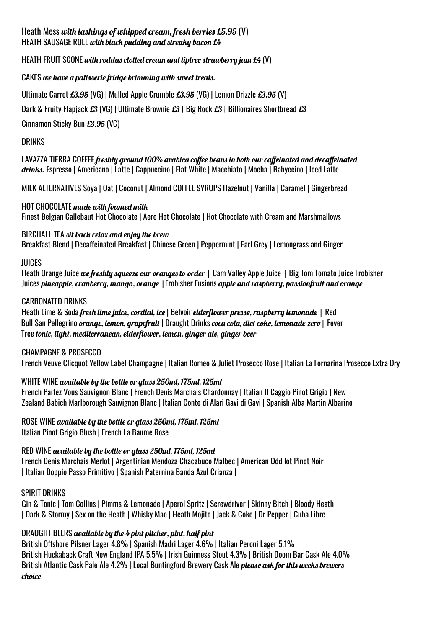#### Heath Mess with lashings of whipped cream, fresh berries  $£5.95$  (V) HEATH SAUSAGE ROLL with black pudding and streaky bacon £4

#### HEATH FRUIT SCONE with roddas clotted cream and tiptree strawberry jam  $E4$  (V)

#### CAKES we have a patisserie fridge brimming with sweet treats.

Ultimate Carrot £3.95 (VG) | Mulled Apple Crumble £3.95 (VG) | Lemon Drizzle £3.95 (V)

Dark & Fruity Flapjack £3 (VG) | Ultimate Brownie £3 | Big Rock £3 | Billionaires Shortbread £3

Cinnamon Sticky Bun £3.95 (VG)

#### DRINKS

LAVAZZA TIERRA COFFEE freshly ground 100% arabica coffee beans in both our caffeinated and decaffeinated drinks. Espresso | Americano | Latte | Cappuccino | Flat White | Macchiato | Mocha | Babyccino | Iced Latte

MILK ALTERNATIVES Soya | Oat | Coconut | Almond COFFEE SYRUPS Hazelnut | Vanilla | Caramel | Gingerbread

#### HOT CHOCOLATE made with foamed milk Finest Belgian Callebaut Hot Chocolate | Aero Hot Chocolate | Hot Chocolate with Cream and Marshmallows

#### BIRCHALL TEA sit back relax and enjoy the brew

Breakfast Blend | Decaffeinated Breakfast | Chinese Green | Peppermint | Earl Grey | Lemongrass and Ginger

#### JUICES

Heath Orange Juice we freshly squeeze our oranges to order | Cam Valley Apple Juice | Big Tom Tomato Juice Frobisher Juices pineapple, cranberry, mango, orange | Frobisher Fusions apple and raspberry, passionfruit and orange

#### CARBONATED DRINKS

Heath Lime & Soda fresh lime juice, cordial, ice | Belvoir elderflower presse, raspberry lemonade | Red Bull San Pellegrino orange, Lemon, grapefruit | Draught Drinks coca cola, diet coke, Lemonade zero | Fever Tree tonic, light, mediterranean, elderflower, lemon, ginger ale, ginger beer

#### CHAMPAGNE & PROSECCO

French Veuve Clicquot Yellow Label Champagne | Italian Romeo & Juliet Prosecco Rose | Italian La Fornarina Prosecco Extra Dry

## WHITE WINE available by the bottle or glass 250ml, 175ml, 125ml

French Parlez Vous Sauvignon Blanc | French Denis Marchais Chardonnay | Italian II Caggio Pinot Grigio | New Zealand Babich Marlborough Sauvignon Blanc | Italian Conte di Alari Gavi di Gavi | Spanish Alba Martin Albarino

## ROSE WINE available by the bottle or glass 250ml, 175ml, 125ml

Italian Pinot Grigio Blush | French La Baume Rose

RED WINE available by the bottle or glass 250ml, 175ml, 125ml French Denis Marchais Merlot | Argentinian Mendoza Chacabuco Malbec | American Odd lot Pinot Noir | Italian Doppio Passo Primitivo | Spanish Paternina Banda Azul Crianza |

#### SPIRIT DRINKS

Gin & Tonic | Tom Collins | Pimms & Lemonade | Aperol Spritz | Screwdriver | Skinny Bitch | Bloody Heath | Dark & Stormy | Sex on the Heath | Whisky Mac | Heath Mojito | Jack & Coke | Dr Pepper | Cuba Libre

## DRAUGHT BEERS available by the 4 pint pitcher, pint, half pint

British Offshore Pilsner Lager 4.8% | Spanish Madri Lager 4.6% | Italian Peroni Lager 5.1% British Huckaback Craft New England IPA 5.5% | Irish Guinness Stout 4.3% | British Doom Bar Cask Ale 4.0% British Atlantic Cask Pale Ale 4.2% | Local Buntingford Brewery Cask Ale *please ask for this weeks brewers* choice